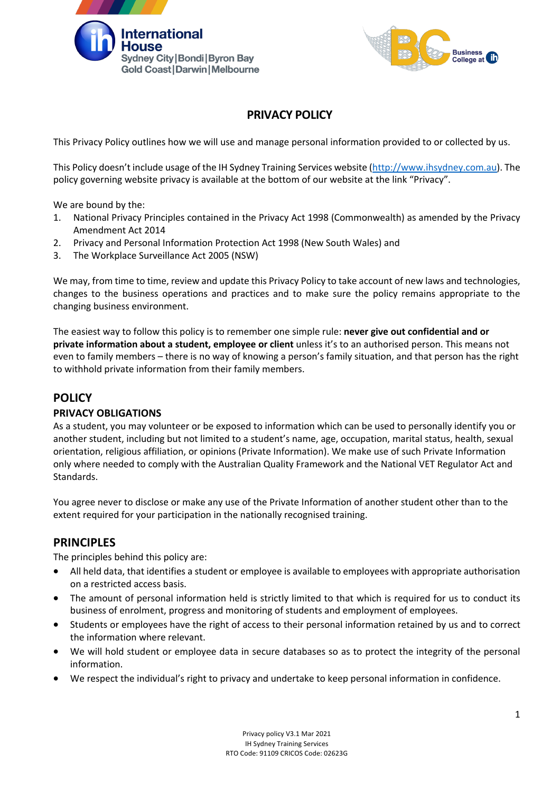



# **PRIVACY POLICY**

This Privacy Policy outlines how we will use and manage personal information provided to or collected by us.

This Policy doesn't include usage of the IH Sydney Training Services website (http://www.ihsydney.com.au). The policy governing website privacy is available at the bottom of our website at the link "Privacy".

We are bound by the:

- 1. National Privacy Principles contained in the Privacy Act 1998 (Commonwealth) as amended by the Privacy Amendment Act 2014
- 2. Privacy and Personal Information Protection Act 1998 (New South Wales) and
- 3. The Workplace Surveillance Act 2005 (NSW)

We may, from time to time, review and update this Privacy Policy to take account of new laws and technologies, changes to the business operations and practices and to make sure the policy remains appropriate to the changing business environment.

The easiest way to follow this policy is to remember one simple rule: **never give out confidential and or private information about a student, employee or client** unless it's to an authorised person. This means not even to family members – there is no way of knowing a person's family situation, and that person has the right to withhold private information from their family members.

## **POLICY**

### **PRIVACY OBLIGATIONS**

As a student, you may volunteer or be exposed to information which can be used to personally identify you or another student, including but not limited to a student's name, age, occupation, marital status, health, sexual orientation, religious affiliation, or opinions (Private Information). We make use of such Private Information only where needed to comply with the Australian Quality Framework and the National VET Regulator Act and Standards.

You agree never to disclose or make any use of the Private Information of another student other than to the extent required for your participation in the nationally recognised training.

### **PRINCIPLES**

The principles behind this policy are:

- All held data, that identifies a student or employee is available to employees with appropriate authorisation on a restricted access basis.
- The amount of personal information held is strictly limited to that which is required for us to conduct its business of enrolment, progress and monitoring of students and employment of employees.
- Students or employees have the right of access to their personal information retained by us and to correct the information where relevant.
- We will hold student or employee data in secure databases so as to protect the integrity of the personal information.
- We respect the individual's right to privacy and undertake to keep personal information in confidence.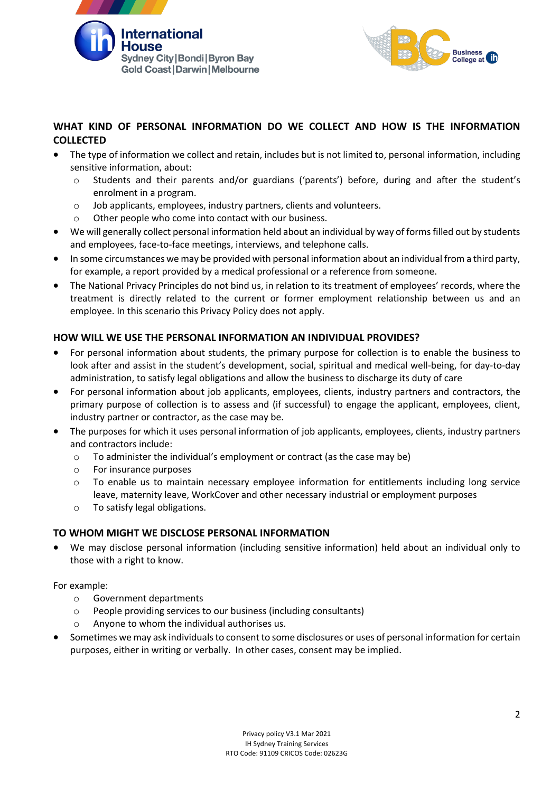



## **WHAT KIND OF PERSONAL INFORMATION DO WE COLLECT AND HOW IS THE INFORMATION COLLECTED**

- The type of information we collect and retain, includes but is not limited to, personal information, including sensitive information, about:
	- Students and their parents and/or guardians ('parents') before, during and after the student's enrolment in a program.
	- o Job applicants, employees, industry partners, clients and volunteers.
	- o Other people who come into contact with our business.
- We will generally collect personal information held about an individual by way of forms filled out by students and employees, face-to-face meetings, interviews, and telephone calls.
- In some circumstances we may be provided with personal information about an individual from a third party, for example, a report provided by a medical professional or a reference from someone.
- The National Privacy Principles do not bind us, in relation to its treatment of employees' records, where the treatment is directly related to the current or former employment relationship between us and an employee. In this scenario this Privacy Policy does not apply.

## **HOW WILL WE USE THE PERSONAL INFORMATION AN INDIVIDUAL PROVIDES?**

- For personal information about students, the primary purpose for collection is to enable the business to look after and assist in the student's development, social, spiritual and medical well-being, for day-to-day administration, to satisfy legal obligations and allow the business to discharge its duty of care
- For personal information about job applicants, employees, clients, industry partners and contractors, the primary purpose of collection is to assess and (if successful) to engage the applicant, employees, client, industry partner or contractor, as the case may be.
- The purposes for which it uses personal information of job applicants, employees, clients, industry partners and contractors include:
	- o To administer the individual's employment or contract (as the case may be)
	- o For insurance purposes
	- $\circ$  To enable us to maintain necessary employee information for entitlements including long service leave, maternity leave, WorkCover and other necessary industrial or employment purposes
	- o To satisfy legal obligations.

### **TO WHOM MIGHT WE DISCLOSE PERSONAL INFORMATION**

• We may disclose personal information (including sensitive information) held about an individual only to those with a right to know.

For example:

- o Government departments
- o People providing services to our business (including consultants)
- o Anyone to whom the individual authorises us.
- Sometimes we may ask individuals to consent to some disclosures or uses of personal information for certain purposes, either in writing or verbally. In other cases, consent may be implied.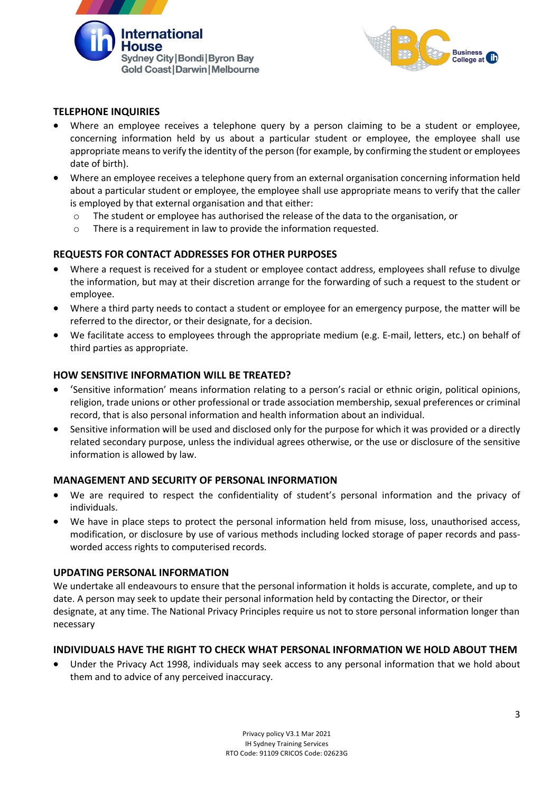



## **TELEPHONE INQUIRIES**

- Where an employee receives a telephone query by a person claiming to be a student or employee, concerning information held by us about a particular student or employee, the employee shall use appropriate means to verify the identity of the person (for example, by confirming the student or employees date of birth).
- Where an employee receives a telephone query from an external organisation concerning information held about a particular student or employee, the employee shall use appropriate means to verify that the caller is employed by that external organisation and that either:
	- o The student or employee has authorised the release of the data to the organisation, or
	- o There is a requirement in law to provide the information requested.

### **REQUESTS FOR CONTACT ADDRESSES FOR OTHER PURPOSES**

- Where a request is received for a student or employee contact address, employees shall refuse to divulge the information, but may at their discretion arrange for the forwarding of such a request to the student or employee.
- Where a third party needs to contact a student or employee for an emergency purpose, the matter will be referred to the director, or their designate, for a decision.
- We facilitate access to employees through the appropriate medium (e.g. E-mail, letters, etc.) on behalf of third parties as appropriate.

#### **HOW SENSITIVE INFORMATION WILL BE TREATED?**

- 'Sensitive information' means information relating to a person's racial or ethnic origin, political opinions, religion, trade unions or other professional or trade association membership, sexual preferences or criminal record, that is also personal information and health information about an individual.
- Sensitive information will be used and disclosed only for the purpose for which it was provided or a directly related secondary purpose, unless the individual agrees otherwise, or the use or disclosure of the sensitive information is allowed by law.

### **MANAGEMENT AND SECURITY OF PERSONAL INFORMATION**

- We are required to respect the confidentiality of student's personal information and the privacy of individuals.
- We have in place steps to protect the personal information held from misuse, loss, unauthorised access, modification, or disclosure by use of various methods including locked storage of paper records and passworded access rights to computerised records.

#### **UPDATING PERSONAL INFORMATION**

We undertake all endeavours to ensure that the personal information it holds is accurate, complete, and up to date. A person may seek to update their personal information held by contacting the Director, or their designate, at any time. The National Privacy Principles require us not to store personal information longer than necessary

### **INDIVIDUALS HAVE THE RIGHT TO CHECK WHAT PERSONAL INFORMATION WE HOLD ABOUT THEM**

• Under the Privacy Act 1998, individuals may seek access to any personal information that we hold about them and to advice of any perceived inaccuracy.